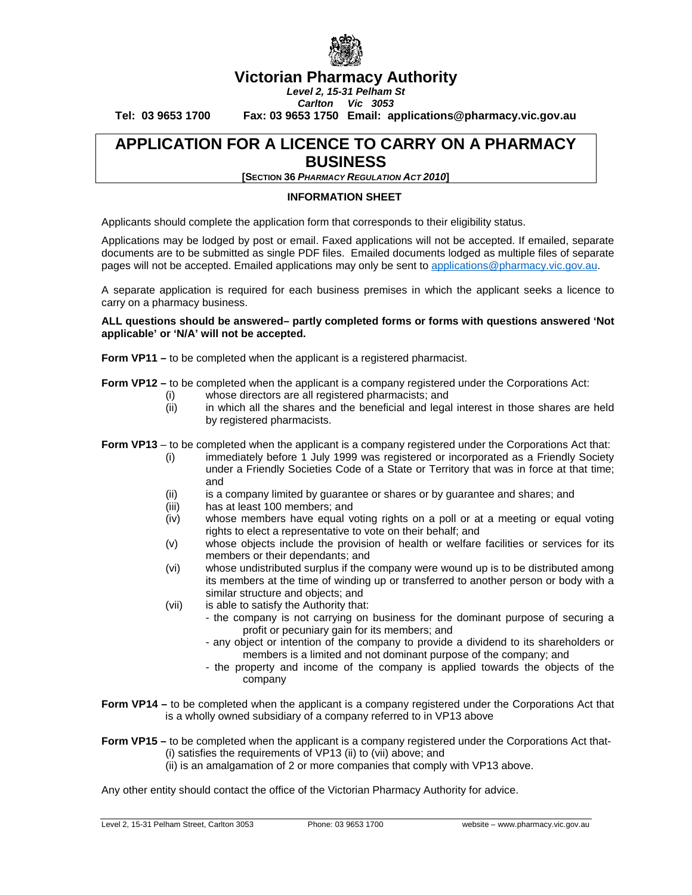

# **Victorian Pharmacy Authority**

*Level 2, 15-31 Pelham St Carlton Vic 3053*

**Tel: 03 9653 1700 Fax: 03 9653 1750 Email: applications@pharmacy.vic.gov.au**

## **APPLICATION FOR A LICENCE TO CARRY ON A PHARMACY BUSINESS**

**[SECTION 36** *PHARMACY REGULATION ACT 2010***]**

#### **INFORMATION SHEET**

Applicants should complete the application form that corresponds to their eligibility status.

Applications may be lodged by post or email. Faxed applications will not be accepted. If emailed, separate documents are to be submitted as single PDF files. Emailed documents lodged as multiple files of separate pages will not be accepted. Emailed applications may only be sent to [applications@pharmacy.vic.gov.au.](mailto:applications@pharmacy.vic.gov.au)

A separate application is required for each business premises in which the applicant seeks a licence to carry on a pharmacy business.

**ALL questions should be answered– partly completed forms or forms with questions answered 'Not applicable' or 'N/A' will not be accepted.**

**Form VP11 –** to be completed when the applicant is a registered pharmacist.

**Form VP12 –** to be completed when the applicant is a company registered under the Corporations Act:

- (i) whose directors are all registered pharmacists; and
- (ii) in which all the shares and the beneficial and legal interest in those shares are held by registered pharmacists.

**Form VP13** – to be completed when the applicant is a company registered under the Corporations Act that:

- (i) immediately before 1 July 1999 was registered or incorporated as a Friendly Society under a Friendly Societies Code of a State or Territory that was in force at that time; and
- (ii) is a company limited by guarantee or shares or by guarantee and shares; and
- (iii) has at least 100 members; and
- (iv) whose members have equal voting rights on a poll or at a meeting or equal voting rights to elect a representative to vote on their behalf; and
- (v) whose objects include the provision of health or welfare facilities or services for its members or their dependants; and
- (vi) whose undistributed surplus if the company were wound up is to be distributed among its members at the time of winding up or transferred to another person or body with a similar structure and objects; and
- (vii) is able to satisfy the Authority that:
	- the company is not carrying on business for the dominant purpose of securing a profit or pecuniary gain for its members; and
	- any object or intention of the company to provide a dividend to its shareholders or members is a limited and not dominant purpose of the company; and
	- the property and income of the company is applied towards the objects of the company
- **Form VP14 –** to be completed when the applicant is a company registered under the Corporations Act that is a wholly owned subsidiary of a company referred to in VP13 above

**Form VP15 –** to be completed when the applicant is a company registered under the Corporations Act that- (i) satisfies the requirements of VP13 (ii) to (vii) above; and

(ii) is an amalgamation of 2 or more companies that comply with VP13 above.

Any other entity should contact the office of the Victorian Pharmacy Authority for advice.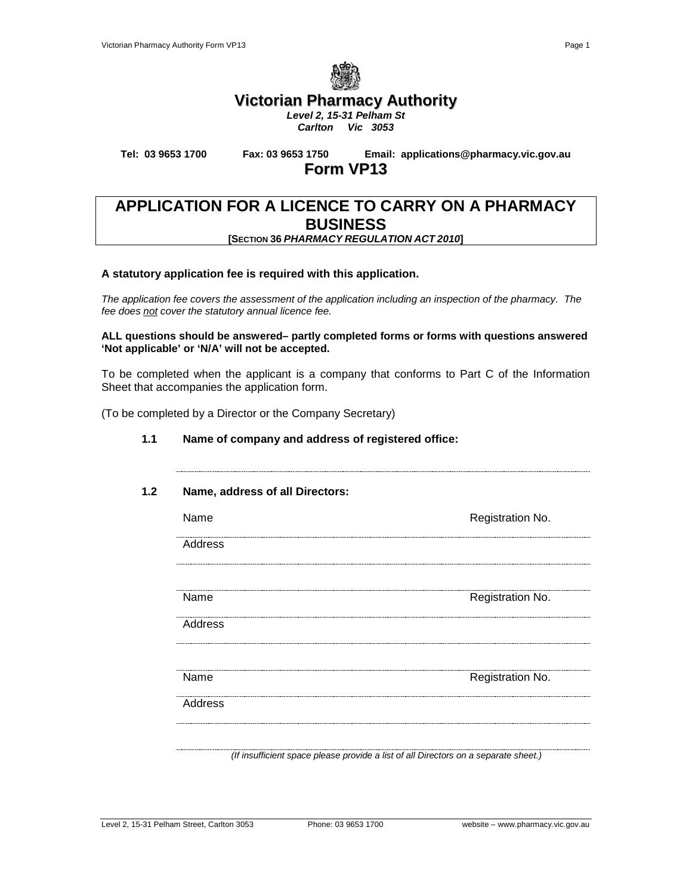

## **Victorian Pharmacy Authority**

*Level 2, 15-31 Pelham St Carlton Vic 3053*

**Tel: 03 9653 1700 Fax: 03 9653 1750 Email: applications@pharmacy.vic.gov.au**

# **Form VP13**

### **APPLICATION FOR A LICENCE TO CARRY ON A PHARMACY BUSINESS [SECTION 36** *PHARMACY REGULATION ACT 2010***]**

### **A statutory application fee is required with this application.**

*The application fee covers the assessment of the application including an inspection of the pharmacy. The fee does not cover the statutory annual licence fee.*

**ALL questions should be answered– partly completed forms or forms with questions answered 'Not applicable' or 'N/A' will not be accepted.**

To be completed when the applicant is a company that conforms to Part C of the Information Sheet that accompanies the application form.

(To be completed by a Director or the Company Secretary)

| Name, address of all Directors: |                  |
|---------------------------------|------------------|
| Name                            | Registration No. |
| Address                         |                  |
| Name                            | Registration No. |
| Address                         |                  |
| Name                            | Registration No. |
| Address                         |                  |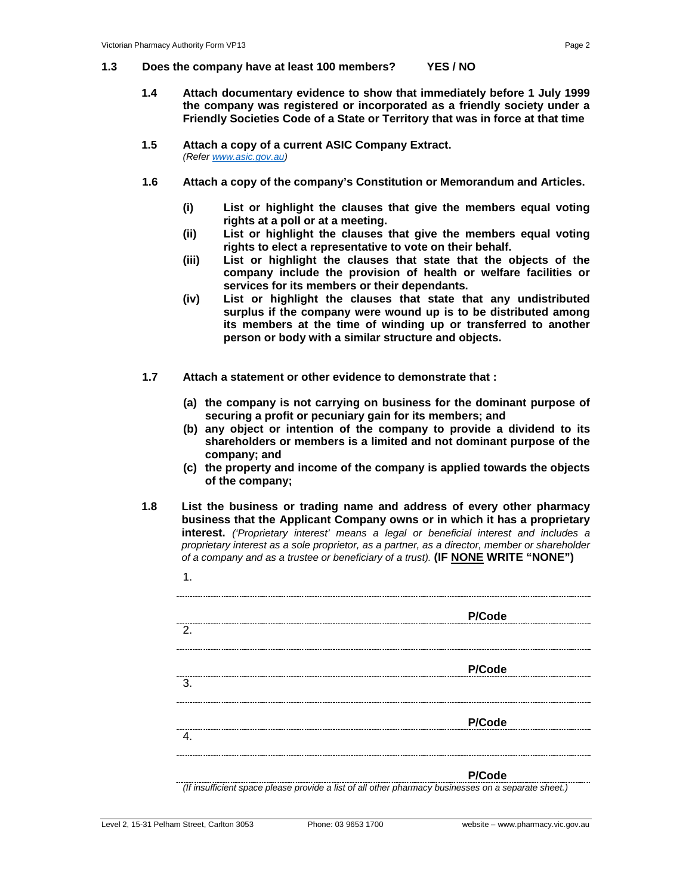#### **1.3 Does the company have at least 100 members? YES / NO**

- **1.4 Attach documentary evidence to show that immediately before 1 July 1999 the company was registered or incorporated as a friendly society under a Friendly Societies Code of a State or Territory that was in force at that time**
- **1.5 Attach a copy of a current ASIC Company Extract.** *(Refer [www.asic.gov.au\)](http://www.asic.gov.au/)*
- **1.6 Attach a copy of the company's Constitution or Memorandum and Articles.**
	- **(i) List or highlight the clauses that give the members equal voting rights at a poll or at a meeting.**
	- **(ii) List or highlight the clauses that give the members equal voting rights to elect a representative to vote on their behalf.**
	- **(iii) List or highlight the clauses that state that the objects of the company include the provision of health or welfare facilities or services for its members or their dependants.**
	- **(iv) List or highlight the clauses that state that any undistributed surplus if the company were wound up is to be distributed among its members at the time of winding up or transferred to another person or body with a similar structure and objects.**
- **1.7 Attach a statement or other evidence to demonstrate that :** 
	- **(a) the company is not carrying on business for the dominant purpose of securing a profit or pecuniary gain for its members; and**
	- **(b) any object or intention of the company to provide a dividend to its shareholders or members is a limited and not dominant purpose of the company; and**
	- **(c) the property and income of the company is applied towards the objects of the company;**
- **1.8 List the business or trading name and address of every other pharmacy business that the Applicant Company owns or in which it has a proprietary interest.** *('Proprietary interest' means a legal or beneficial interest and includes a proprietary interest as a sole proprietor, as a partner, as a director, member or shareholder of a company and as a trustee or beneficiary of a trust).* **(IF NONE WRITE "NONE")**
	- **P/Code**  $\overline{2}$ . **P/Code** 3. **P/Code** 4. **P/Code**

*(If insufficient space please provide a list of all other pharmacy businesses on a separate sheet.)*

1.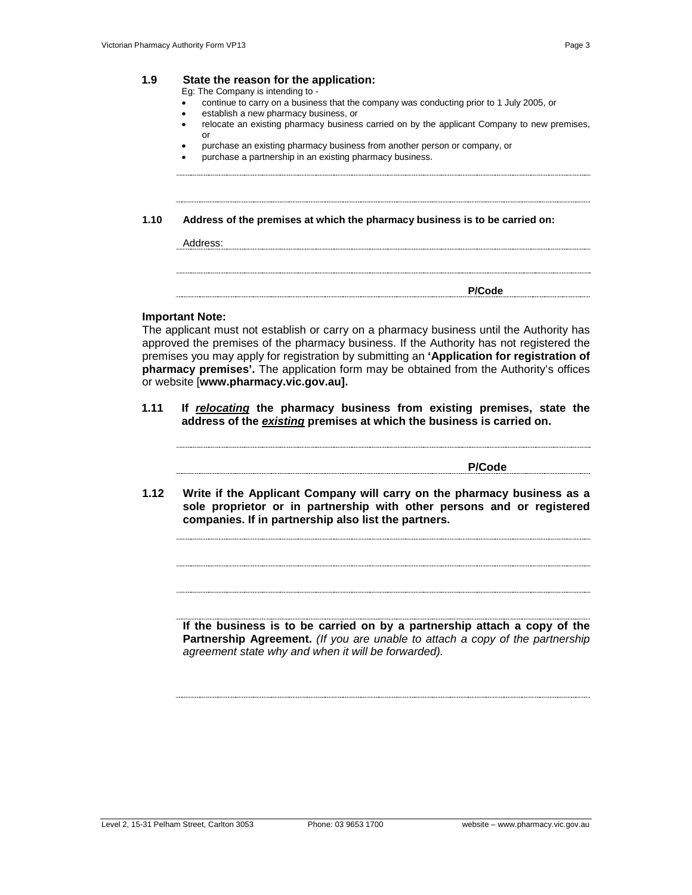Eg: The Company is intending to -

- continue to carry on a business that the company was conducting prior to 1 July 2005, or
- establish a new pharmacy business, or
- relocate an existing pharmacy business carried on by the applicant Company to new premises, or
- purchase an existing pharmacy business from another person or company, or
- purchase a partnership in an existing pharmacy business.

**1.10 Address of the premises at which the pharmacy business is to be carried on:**

#### **Important Note:**

The applicant must not establish or carry on a pharmacy business until the Authority has approved the premises of the pharmacy business. If the Authority has not registered the premises you may apply for registration by submitting an **'Application for registration of pharmacy premises'.** The application form may be obtained from the Authority's offices or website [**www.pharmacy.vic.gov.au].**

**1.11 If** *relocating* **the pharmacy business from existing premises, state the address of the** *existing* **premises at which the business is carried on.**

**P/Code**

**1.12 Write if the Applicant Company will carry on the pharmacy business as a sole proprietor or in partnership with other persons and or registered companies. If in partnership also list the partners.**

**If the business is to be carried on by a partnership attach a copy of the Partnership Agreement.** *(If you are unable to attach a copy of the partnership agreement state why and when it will be forwarded).*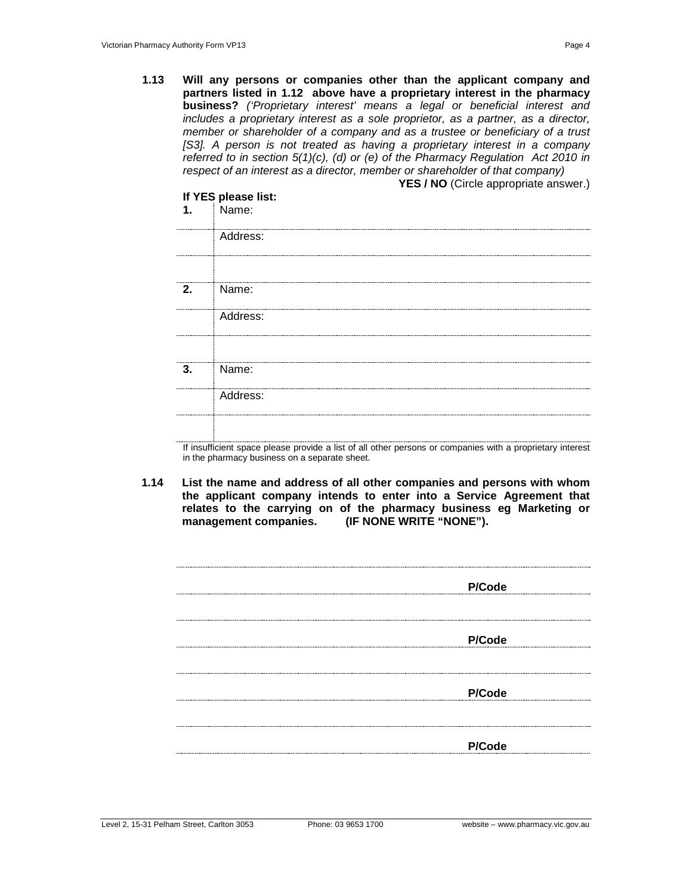**1.13 Will any persons or companies other than the applicant company and partners listed in 1.12 above have a proprietary interest in the pharmacy business?** *('Proprietary interest' means a legal or beneficial interest and includes a proprietary interest as a sole proprietor, as a partner, as a director, member or shareholder of a company and as a trustee or beneficiary of a trust [S3]. A person is not treated as having a proprietary interest in a company referred to in section 5(1)(c), (d) or (e) of the Pharmacy Regulation Act 2010 in respect of an interest as a director, member or shareholder of that company)*   $Y$ EO *i* NO  $(Q_{init}$ 

| 1. | If YES please list:<br>Name: | <b>YES / NO</b> (Circle appropriate answer.) |  |  |  |
|----|------------------------------|----------------------------------------------|--|--|--|
|    | Address:                     |                                              |  |  |  |
| 2. | Name:<br>Address:            |                                              |  |  |  |
|    |                              |                                              |  |  |  |
| 3. | Name:                        |                                              |  |  |  |
|    | Address:                     |                                              |  |  |  |

If insufficient space please provide a list of all other persons or companies with a proprietary interest in the pharmacy business on a separate sheet.

**1.14 List the name and address of all other companies and persons with whom the applicant company intends to enter into a Service Agreement that**  relates to the carrying on of the pharmacy business eg Marketing or management companies. (IF NONE WRITE "NONE"). **(IF NONE WRITE "NONE").** 

| P/Code                              |
|-------------------------------------|
|                                     |
|                                     |
|                                     |
|                                     |
|                                     |
|                                     |
|                                     |
|                                     |
|                                     |
|                                     |
| P/Code                              |
|                                     |
|                                     |
|                                     |
|                                     |
|                                     |
|                                     |
|                                     |
|                                     |
|                                     |
|                                     |
|                                     |
| P/Code                              |
| ----------------------------------- |
|                                     |
|                                     |
|                                     |
|                                     |
|                                     |
|                                     |
|                                     |
|                                     |
|                                     |
| P/Code                              |
|                                     |
|                                     |
|                                     |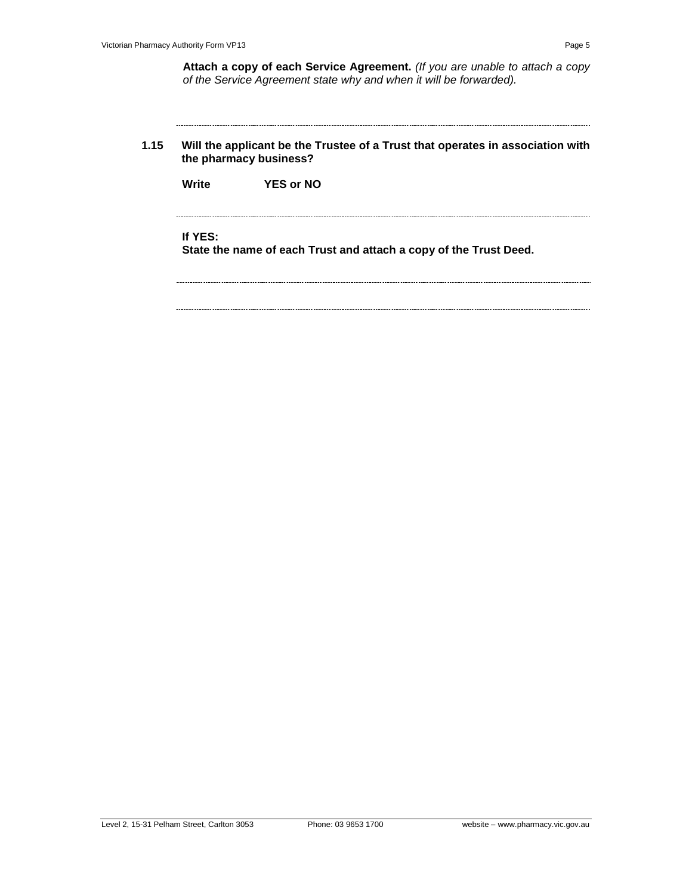**1.15 Will the applicant be the Trustee of a Trust that operates in association with the pharmacy business?**

**Write YES or NO**

#### **If YES:**

**State the name of each Trust and attach a copy of the Trust Deed.**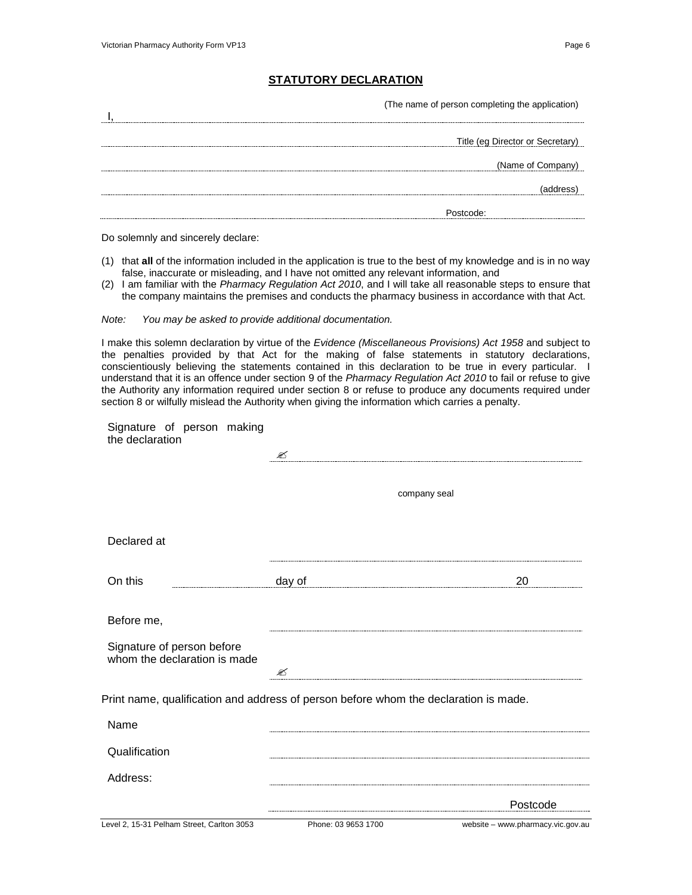### **STATUTORY DECLARATION**

(The name of person completing the application)

| ----------------                 |
|----------------------------------|
| Title (eg Director or Secretary) |
| (Name of Company)                |
| -------------------              |
|                                  |

Do solemnly and sincerely declare:

- (1) that **all** of the information included in the application is true to the best of my knowledge and is in no way false, inaccurate or misleading, and I have not omitted any relevant information, and
- (2) I am familiar with the *Pharmacy Regulation Act 2010*, and I will take all reasonable steps to ensure that the company maintains the premises and conducts the pharmacy business in accordance with that Act.

*Note: You may be asked to provide additional documentation.*

I make this solemn declaration by virtue of the *Evidence (Miscellaneous Provisions) Act 1958* and subject to the penalties provided by that Act for the making of false statements in statutory declarations, conscientiously believing the statements contained in this declaration to be true in every particular. I understand that it is an offence under section 9 of the *Pharmacy Regulation Act 2010* to fail or refuse to give the Authority any information required under section 8 or refuse to produce any documents required under section 8 or wilfully mislead the Authority when giving the information which carries a penalty.

Signature of person making the declaration

|                                                                                      | ✍                   |                                   |  |  |
|--------------------------------------------------------------------------------------|---------------------|-----------------------------------|--|--|
|                                                                                      | company seal        |                                   |  |  |
| Declared at                                                                          |                     |                                   |  |  |
| On this                                                                              | day of              | 20                                |  |  |
| Before me,                                                                           |                     |                                   |  |  |
| Signature of person before<br>whom the declaration is made                           | ✍                   |                                   |  |  |
| Print name, qualification and address of person before whom the declaration is made. |                     |                                   |  |  |
| Name                                                                                 |                     |                                   |  |  |
| Qualification                                                                        |                     |                                   |  |  |
| Address:                                                                             |                     |                                   |  |  |
|                                                                                      |                     | Postcode                          |  |  |
| Level 2, 15-31 Pelham Street, Carlton 3053                                           | Phone: 03 9653 1700 | website - www.pharmacy.vic.gov.au |  |  |